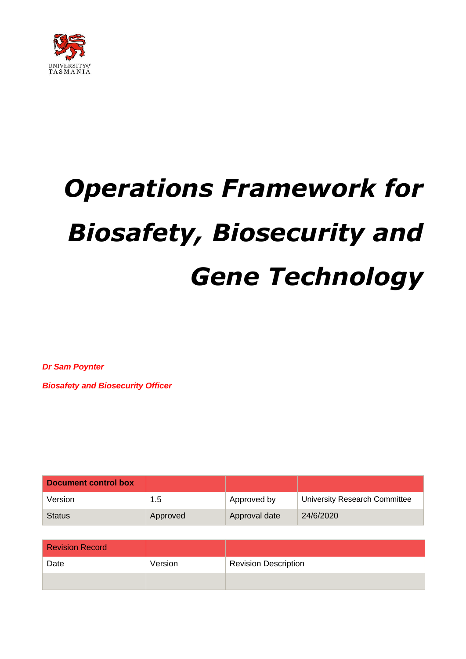

# *Operations Framework for Biosafety, Biosecurity and Gene Technology*

*Dr Sam Poynter* 

*Biosafety and Biosecurity Officer*

| Document control box |          |               |                               |
|----------------------|----------|---------------|-------------------------------|
| Version              | 1.5      | Approved by   | University Research Committee |
| <b>Status</b>        | Approved | Approval date | 24/6/2020                     |

| <b>Revision Record</b> |         |                             |
|------------------------|---------|-----------------------------|
| Date                   | Version | <b>Revision Description</b> |
|                        |         |                             |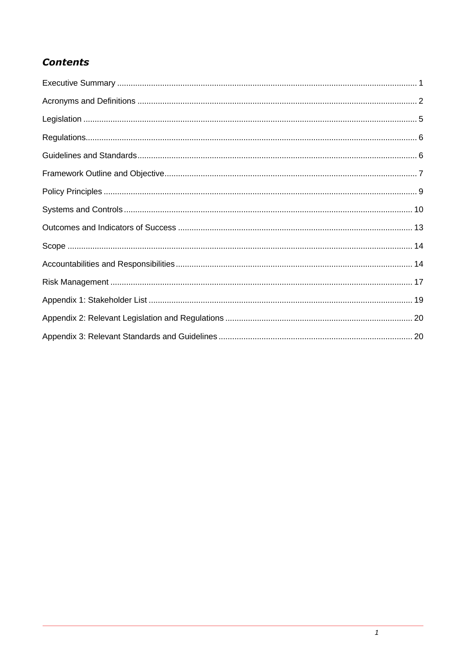## **Contents**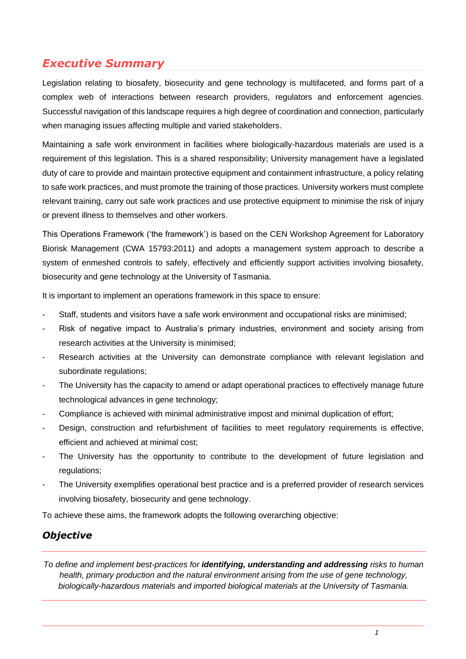## <span id="page-2-0"></span>*Executive Summary*

Legislation relating to biosafety, biosecurity and gene technology is multifaceted, and forms part of a complex web of interactions between research providers, regulators and enforcement agencies. Successful navigation of this landscape requires a high degree of coordination and connection, particularly when managing issues affecting multiple and varied stakeholders.

Maintaining a safe work environment in facilities where biologically-hazardous materials are used is a requirement of this legislation. This is a shared responsibility; University management have a legislated duty of care to provide and maintain protective equipment and containment infrastructure, a policy relating to safe work practices, and must promote the training of those practices. University workers must complete relevant training, carry out safe work practices and use protective equipment to minimise the risk of injury or prevent illness to themselves and other workers.

This Operations Framework ('the framework') is based on the CEN Workshop Agreement for Laboratory Biorisk Management (CWA 15793:2011) and adopts a management system approach to describe a system of enmeshed controls to safely, effectively and efficiently support activities involving biosafety, biosecurity and gene technology at the University of Tasmania.

It is important to implement an operations framework in this space to ensure:

- Staff, students and visitors have a safe work environment and occupational risks are minimised;
- Risk of negative impact to Australia's primary industries, environment and society arising from research activities at the University is minimised;
- Research activities at the University can demonstrate compliance with relevant legislation and subordinate regulations;
- The University has the capacity to amend or adapt operational practices to effectively manage future technological advances in gene technology;
- Compliance is achieved with minimal administrative impost and minimal duplication of effort;
- Design, construction and refurbishment of facilities to meet regulatory requirements is effective, efficient and achieved at minimal cost;
- The University has the opportunity to contribute to the development of future legislation and regulations;
- The University exemplifies operational best practice and is a preferred provider of research services involving biosafety, biosecurity and gene technology.

To achieve these aims, the framework adopts the following overarching objective:

#### *Objective*

*To define and implement best-practices for identifying, understanding and addressing risks to human health, primary production and the natural environment arising from the use of gene technology, biologically-hazardous materials and imported biological materials at the University of Tasmania.*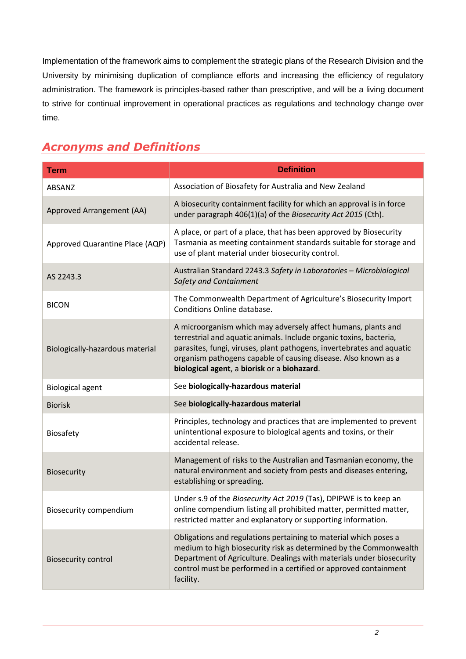Implementation of the framework aims to complement the strategic plans of the Research Division and the University by minimising duplication of compliance efforts and increasing the efficiency of regulatory administration. The framework is principles-based rather than prescriptive, and will be a living document to strive for continual improvement in operational practices as regulations and technology change over time.

## <span id="page-3-0"></span>*Acronyms and Definitions*

| <b>Term</b>                     | <b>Definition</b>                                                                                                                                                                                                                                                                                                             |
|---------------------------------|-------------------------------------------------------------------------------------------------------------------------------------------------------------------------------------------------------------------------------------------------------------------------------------------------------------------------------|
| ABSANZ                          | Association of Biosafety for Australia and New Zealand                                                                                                                                                                                                                                                                        |
| Approved Arrangement (AA)       | A biosecurity containment facility for which an approval is in force<br>under paragraph 406(1)(a) of the Biosecurity Act 2015 (Cth).                                                                                                                                                                                          |
| Approved Quarantine Place (AQP) | A place, or part of a place, that has been approved by Biosecurity<br>Tasmania as meeting containment standards suitable for storage and<br>use of plant material under biosecurity control.                                                                                                                                  |
| AS 2243.3                       | Australian Standard 2243.3 Safety in Laboratories - Microbiological<br>Safety and Containment                                                                                                                                                                                                                                 |
| <b>BICON</b>                    | The Commonwealth Department of Agriculture's Biosecurity Import<br>Conditions Online database.                                                                                                                                                                                                                                |
| Biologically-hazardous material | A microorganism which may adversely affect humans, plants and<br>terrestrial and aquatic animals. Include organic toxins, bacteria,<br>parasites, fungi, viruses, plant pathogens, invertebrates and aquatic<br>organism pathogens capable of causing disease. Also known as a<br>biological agent, a biorisk or a biohazard. |
| <b>Biological agent</b>         | See biologically-hazardous material                                                                                                                                                                                                                                                                                           |
| <b>Biorisk</b>                  | See biologically-hazardous material                                                                                                                                                                                                                                                                                           |
| Biosafety                       | Principles, technology and practices that are implemented to prevent<br>unintentional exposure to biological agents and toxins, or their<br>accidental release.                                                                                                                                                               |
| Biosecurity                     | Management of risks to the Australian and Tasmanian economy, the<br>natural environment and society from pests and diseases entering,<br>establishing or spreading.                                                                                                                                                           |
| <b>Biosecurity compendium</b>   | Under s.9 of the Biosecurity Act 2019 (Tas), DPIPWE is to keep an<br>online compendium listing all prohibited matter, permitted matter,<br>restricted matter and explanatory or supporting information.                                                                                                                       |
| <b>Biosecurity control</b>      | Obligations and regulations pertaining to material which poses a<br>medium to high biosecurity risk as determined by the Commonwealth<br>Department of Agriculture. Dealings with materials under biosecurity<br>control must be performed in a certified or approved containment<br>facility.                                |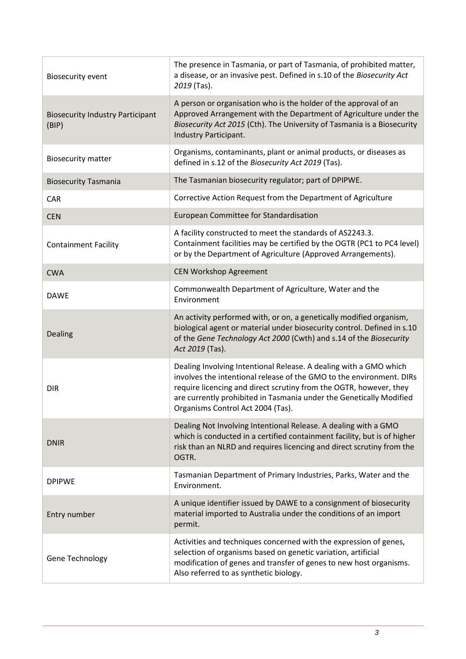| <b>Biosecurity event</b>                         | The presence in Tasmania, or part of Tasmania, of prohibited matter,<br>a disease, or an invasive pest. Defined in s.10 of the Biosecurity Act<br>2019 (Tas).                                                                                                                                                               |
|--------------------------------------------------|-----------------------------------------------------------------------------------------------------------------------------------------------------------------------------------------------------------------------------------------------------------------------------------------------------------------------------|
| <b>Biosecurity Industry Participant</b><br>(BIP) | A person or organisation who is the holder of the approval of an<br>Approved Arrangement with the Department of Agriculture under the<br>Biosecurity Act 2015 (Cth). The University of Tasmania is a Biosecurity<br>Industry Participant.                                                                                   |
| <b>Biosecurity matter</b>                        | Organisms, contaminants, plant or animal products, or diseases as<br>defined in s.12 of the Biosecurity Act 2019 (Tas).                                                                                                                                                                                                     |
| <b>Biosecurity Tasmania</b>                      | The Tasmanian biosecurity regulator; part of DPIPWE.                                                                                                                                                                                                                                                                        |
| CAR                                              | Corrective Action Request from the Department of Agriculture                                                                                                                                                                                                                                                                |
| <b>CEN</b>                                       | European Committee for Standardisation                                                                                                                                                                                                                                                                                      |
| <b>Containment Facility</b>                      | A facility constructed to meet the standards of AS2243.3.<br>Containment facilities may be certified by the OGTR (PC1 to PC4 level)<br>or by the Department of Agriculture (Approved Arrangements).                                                                                                                         |
| <b>CWA</b>                                       | <b>CEN Workshop Agreement</b>                                                                                                                                                                                                                                                                                               |
| <b>DAWE</b>                                      | Commonwealth Department of Agriculture, Water and the<br>Environment                                                                                                                                                                                                                                                        |
| Dealing                                          | An activity performed with, or on, a genetically modified organism,<br>biological agent or material under biosecurity control. Defined in s.10<br>of the Gene Technology Act 2000 (Cwth) and s.14 of the Biosecurity<br>Act 2019 (Tas).                                                                                     |
| <b>DIR</b>                                       | Dealing Involving Intentional Release. A dealing with a GMO which<br>involves the intentional release of the GMO to the environment. DIRs<br>require licencing and direct scrutiny from the OGTR, however, they<br>are currently prohibited in Tasmania under the Genetically Modified<br>Organisms Control Act 2004 (Tas). |
| <b>DNIR</b>                                      | Dealing Not Involving Intentional Release. A dealing with a GMO<br>which is conducted in a certified containment facility, but is of higher<br>risk than an NLRD and requires licencing and direct scrutiny from the<br>OGTR.                                                                                               |
| <b>DPIPWE</b>                                    | Tasmanian Department of Primary Industries, Parks, Water and the<br>Environment.                                                                                                                                                                                                                                            |
| Entry number                                     | A unique identifier issued by DAWE to a consignment of biosecurity<br>material imported to Australia under the conditions of an import<br>permit.                                                                                                                                                                           |
| Gene Technology                                  | Activities and techniques concerned with the expression of genes,<br>selection of organisms based on genetic variation, artificial<br>modification of genes and transfer of genes to new host organisms.<br>Also referred to as synthetic biology.                                                                          |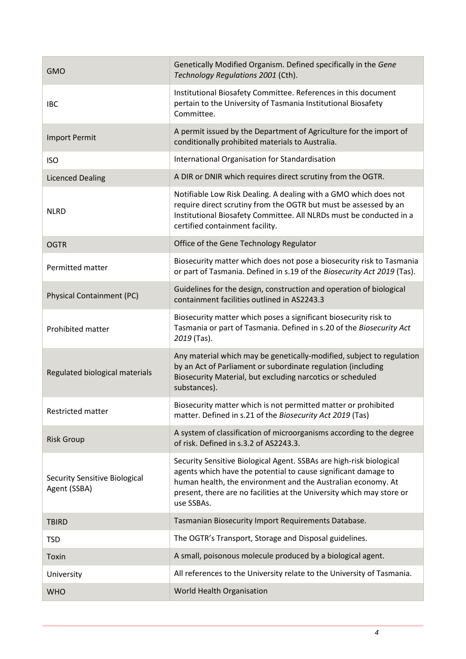| <b>GMO</b>                                           | Genetically Modified Organism. Defined specifically in the Gene<br>Technology Regulations 2001 (Cth).                                                                                                                                                                                        |
|------------------------------------------------------|----------------------------------------------------------------------------------------------------------------------------------------------------------------------------------------------------------------------------------------------------------------------------------------------|
| <b>IBC</b>                                           | Institutional Biosafety Committee. References in this document<br>pertain to the University of Tasmania Institutional Biosafety<br>Committee.                                                                                                                                                |
| <b>Import Permit</b>                                 | A permit issued by the Department of Agriculture for the import of<br>conditionally prohibited materials to Australia.                                                                                                                                                                       |
| <b>ISO</b>                                           | International Organisation for Standardisation                                                                                                                                                                                                                                               |
| <b>Licenced Dealing</b>                              | A DIR or DNIR which requires direct scrutiny from the OGTR.                                                                                                                                                                                                                                  |
| <b>NLRD</b>                                          | Notifiable Low Risk Dealing. A dealing with a GMO which does not<br>require direct scrutiny from the OGTR but must be assessed by an<br>Institutional Biosafety Committee. All NLRDs must be conducted in a<br>certified containment facility.                                               |
| <b>OGTR</b>                                          | Office of the Gene Technology Regulator                                                                                                                                                                                                                                                      |
| Permitted matter                                     | Biosecurity matter which does not pose a biosecurity risk to Tasmania<br>or part of Tasmania. Defined in s.19 of the Biosecurity Act 2019 (Tas).                                                                                                                                             |
| <b>Physical Containment (PC)</b>                     | Guidelines for the design, construction and operation of biological<br>containment facilities outlined in AS2243.3                                                                                                                                                                           |
| Prohibited matter                                    | Biosecurity matter which poses a significant biosecurity risk to<br>Tasmania or part of Tasmania. Defined in s.20 of the Biosecurity Act<br>2019 (Tas).                                                                                                                                      |
| Regulated biological materials                       | Any material which may be genetically-modified, subject to regulation<br>by an Act of Parliament or subordinate regulation (including<br>Biosecurity Material, but excluding narcotics or scheduled<br>substances).                                                                          |
| Restricted matter                                    | Biosecurity matter which is not permitted matter or prohibited<br>matter. Defined in s.21 of the Biosecurity Act 2019 (Tas)                                                                                                                                                                  |
| <b>Risk Group</b>                                    | A system of classification of microorganisms according to the degree<br>of risk. Defined in s.3.2 of AS2243.3.                                                                                                                                                                               |
| <b>Security Sensitive Biological</b><br>Agent (SSBA) | Security Sensitive Biological Agent. SSBAs are high-risk biological<br>agents which have the potential to cause significant damage to<br>human health, the environment and the Australian economy. At<br>present, there are no facilities at the University which may store or<br>use SSBAs. |
| <b>TBIRD</b>                                         | Tasmanian Biosecurity Import Requirements Database.                                                                                                                                                                                                                                          |
| <b>TSD</b>                                           | The OGTR's Transport, Storage and Disposal guidelines.                                                                                                                                                                                                                                       |
| Toxin                                                | A small, poisonous molecule produced by a biological agent.                                                                                                                                                                                                                                  |
| University                                           | All references to the University relate to the University of Tasmania.                                                                                                                                                                                                                       |
| <b>WHO</b>                                           | World Health Organisation                                                                                                                                                                                                                                                                    |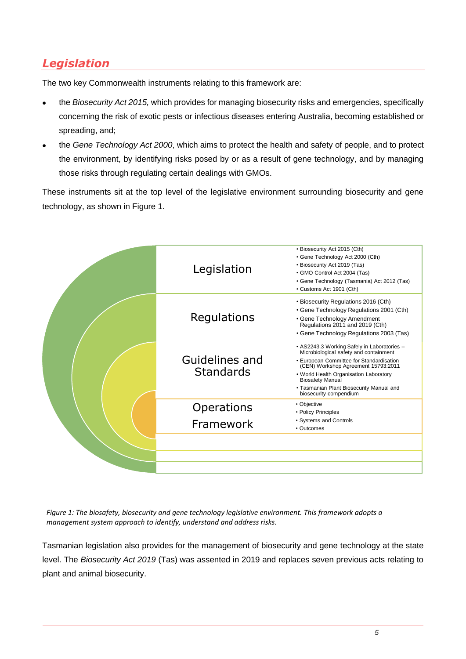## <span id="page-6-0"></span>*Legislation*

The two key Commonwealth instruments relating to this framework are:

- the *Biosecurity Act 2015,* which provides for managing biosecurity risks and emergencies, specifically concerning the risk of exotic pests or infectious diseases entering Australia, becoming established or spreading, and;
- the *Gene Technology Act 2000*, which aims to protect the health and safety of people, and to protect the environment, by identifying risks posed by or as a result of gene technology, and by managing those risks through regulating certain dealings with GMOs.

These instruments sit at the top level of the legislative environment surrounding biosecurity and gene technology, as shown in Figure 1.



*Figure 1: The biosafety, biosecurity and gene technology legislative environment. This framework adopts a management system approach to identify, understand and address risks.*

Tasmanian legislation also provides for the management of biosecurity and gene technology at the state level. The *Biosecurity Act 2019* (Tas) was assented in 2019 and replaces seven previous acts relating to plant and animal biosecurity.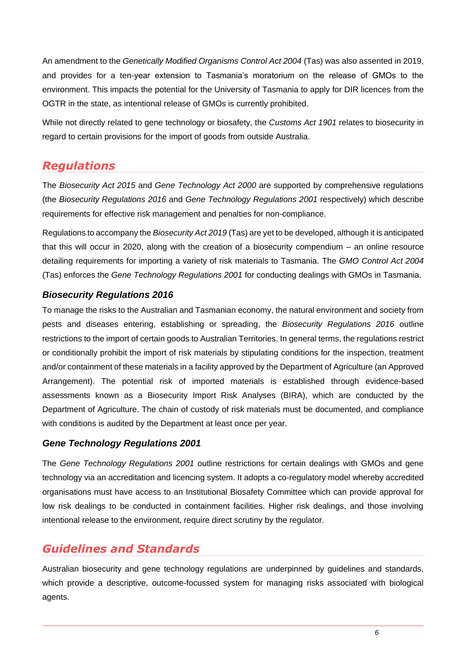An amendment to the *Genetically Modified Organisms Control Act 2004* (Tas) was also assented in 2019, and provides for a ten-year extension to Tasmania's moratorium on the release of GMOs to the environment. This impacts the potential for the University of Tasmania to apply for DIR licences from the OGTR in the state, as intentional release of GMOs is currently prohibited.

While not directly related to gene technology or biosafety, the *Customs Act 1901* relates to biosecurity in regard to certain provisions for the import of goods from outside Australia.

#### <span id="page-7-0"></span>*Regulations*

The *Biosecurity Act 2015* and *Gene Technology Act 2000* are supported by comprehensive regulations (the *Biosecurity Regulations 2016* and *Gene Technology Regulations 2001* respectively) which describe requirements for effective risk management and penalties for non-compliance.

Regulations to accompany the *Biosecurity Act 2019* (Tas) are yet to be developed, although it is anticipated that this will occur in 2020, along with the creation of a biosecurity compendium – an online resource detailing requirements for importing a variety of risk materials to Tasmania. The *GMO Control Act 2004* (Tas) enforces the *Gene Technology Regulations 2001* for conducting dealings with GMOs in Tasmania.

#### *Biosecurity Regulations 2016*

To manage the risks to the Australian and Tasmanian economy, the natural environment and society from pests and diseases entering, establishing or spreading, the *Biosecurity Regulations 2016* outline restrictions to the import of certain goods to Australian Territories. In general terms, the regulations restrict or conditionally prohibit the import of risk materials by stipulating conditions for the inspection, treatment and/or containment of these materials in a facility approved by the Department of Agriculture (an Approved Arrangement). The potential risk of imported materials is established through evidence-based assessments known as a Biosecurity Import Risk Analyses (BIRA), which are conducted by the Department of Agriculture. The chain of custody of risk materials must be documented, and compliance with conditions is audited by the Department at least once per year.

#### *Gene Technology Regulations 2001*

The *Gene Technology Regulations 2001* outline restrictions for certain dealings with GMOs and gene technology via an accreditation and licencing system. It adopts a co-regulatory model whereby accredited organisations must have access to an Institutional Biosafety Committee which can provide approval for low risk dealings to be conducted in containment facilities. Higher risk dealings, and those involving intentional release to the environment, require direct scrutiny by the regulator.

## <span id="page-7-1"></span>*Guidelines and Standards*

Australian biosecurity and gene technology regulations are underpinned by guidelines and standards, which provide a descriptive, outcome-focussed system for managing risks associated with biological agents.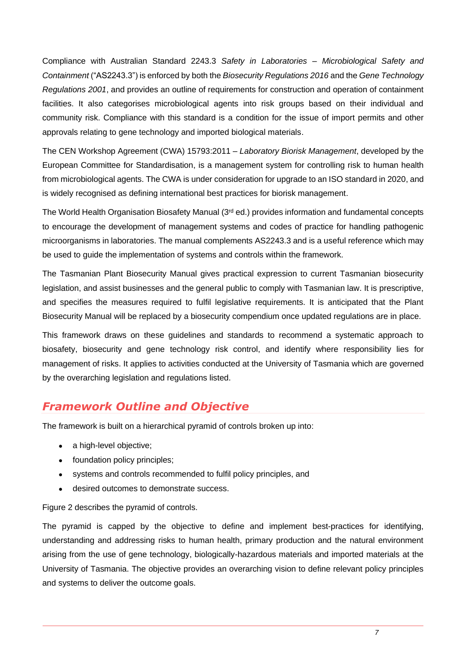Compliance with Australian Standard 2243.3 *Safety in Laboratories – Microbiological Safety and Containment* ("AS2243.3") is enforced by both the *Biosecurity Regulations 2016* and the *Gene Technology Regulations 2001*, and provides an outline of requirements for construction and operation of containment facilities. It also categorises microbiological agents into risk groups based on their individual and community risk. Compliance with this standard is a condition for the issue of import permits and other approvals relating to gene technology and imported biological materials.

The CEN Workshop Agreement (CWA) 15793:2011 – *Laboratory Biorisk Management*, developed by the European Committee for Standardisation, is a management system for controlling risk to human health from microbiological agents. The CWA is under consideration for upgrade to an ISO standard in 2020, and is widely recognised as defining international best practices for biorisk management.

The World Health Organisation Biosafety Manual (3<sup>rd</sup> ed.) provides information and fundamental concepts to encourage the development of management systems and codes of practice for handling pathogenic microorganisms in laboratories. The manual complements AS2243.3 and is a useful reference which may be used to guide the implementation of systems and controls within the framework.

The Tasmanian Plant Biosecurity Manual gives practical expression to current Tasmanian biosecurity legislation, and assist businesses and the general public to comply with Tasmanian law. It is prescriptive, and specifies the measures required to fulfil legislative requirements. It is anticipated that the Plant Biosecurity Manual will be replaced by a biosecurity compendium once updated regulations are in place.

This framework draws on these guidelines and standards to recommend a systematic approach to biosafety, biosecurity and gene technology risk control, and identify where responsibility lies for management of risks. It applies to activities conducted at the University of Tasmania which are governed by the overarching legislation and regulations listed.

## <span id="page-8-0"></span>*Framework Outline and Objective*

The framework is built on a hierarchical pyramid of controls broken up into:

- a high-level objective;
- foundation policy principles;
- systems and controls recommended to fulfil policy principles, and
- desired outcomes to demonstrate success.

Figure 2 describes the pyramid of controls.

The pyramid is capped by the objective to define and implement best-practices for identifying, understanding and addressing risks to human health, primary production and the natural environment arising from the use of gene technology, biologically-hazardous materials and imported materials at the University of Tasmania. The objective provides an overarching vision to define relevant policy principles and systems to deliver the outcome goals.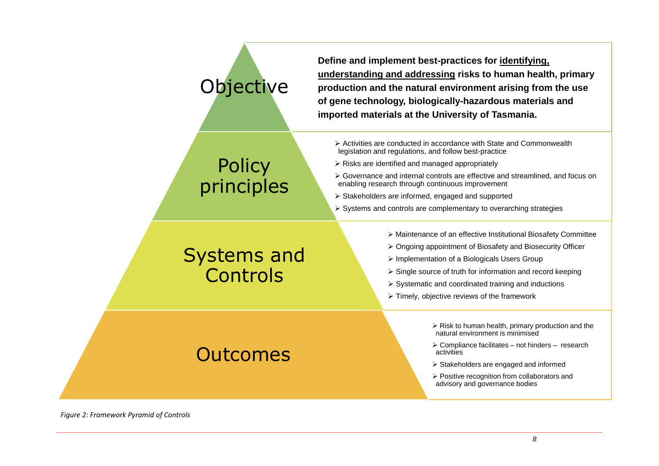## **Objective**

**Policy** 

principles

**Define and implement best-practices for identifying, understanding and addressing risks to human health, primary production and the natural environment arising from the use of gene technology, biologically-hazardous materials and imported materials at the University of Tasmania.**

- ➢ Activities are conducted in accordance with State and Commonwealth legislation and regulations, and follow best-practice
- ➢ Risks are identified and managed appropriately
- ➢ Governance and internal controls are effective and streamlined, and focus on enabling research through continuous improvement
- ➢ Stakeholders are informed, engaged and supported
- ➢ Systems and controls are complementary to overarching strategies

## Systems and **Controls**

Outcomes

- ➢ Maintenance of an effective Institutional Biosafety Committee
- ➢ Ongoing appointment of Biosafety and Biosecurity Officer
- ➢ Implementation of a Biologicals Users Group
- ➢ Single source of truth for information and record keeping
- ➢ Systematic and coordinated training and inductions
- $\triangleright$  Timely, objective reviews of the framework
	- ➢ Risk to human health, primary production and the natural environment is minimised
	- ➢ Compliance facilitates not hinders research activities
	- ➢ Stakeholders are engaged and informed
	- ➢ Positive recognition from collaborators and advisory and governance bodies

*Figure 2: Framework Pyramid of Controls*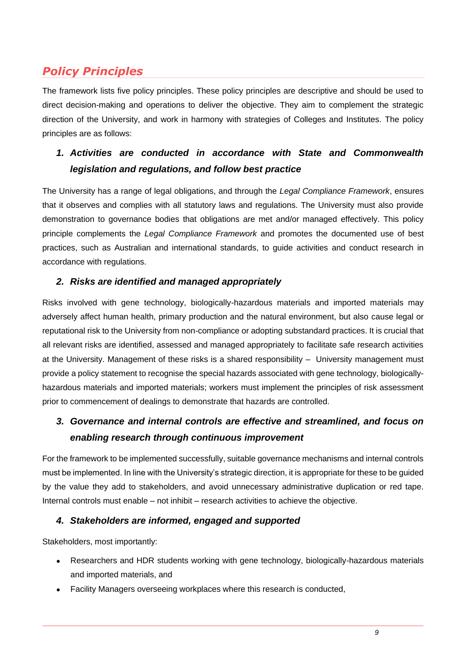## <span id="page-10-0"></span>*Policy Principles*

The framework lists five policy principles. These policy principles are descriptive and should be used to direct decision-making and operations to deliver the objective. They aim to complement the strategic direction of the University, and work in harmony with strategies of Colleges and Institutes. The policy principles are as follows:

## *1. Activities are conducted in accordance with State and Commonwealth legislation and regulations, and follow best practice*

The University has a range of legal obligations, and through the *Legal Compliance Framework*, ensures that it observes and complies with all statutory laws and regulations. The University must also provide demonstration to governance bodies that obligations are met and/or managed effectively. This policy principle complements the *Legal Compliance Framework* and promotes the documented use of best practices, such as Australian and international standards, to guide activities and conduct research in accordance with regulations.

#### *2. Risks are identified and managed appropriately*

Risks involved with gene technology, biologically-hazardous materials and imported materials may adversely affect human health, primary production and the natural environment, but also cause legal or reputational risk to the University from non-compliance or adopting substandard practices. It is crucial that all relevant risks are identified, assessed and managed appropriately to facilitate safe research activities at the University. Management of these risks is a shared responsibility – University management must provide a policy statement to recognise the special hazards associated with gene technology, biologicallyhazardous materials and imported materials; workers must implement the principles of risk assessment prior to commencement of dealings to demonstrate that hazards are controlled.

#### *3. Governance and internal controls are effective and streamlined, and focus on enabling research through continuous improvement*

For the framework to be implemented successfully, suitable governance mechanisms and internal controls must be implemented. In line with the University's strategic direction, it is appropriate for these to be guided by the value they add to stakeholders, and avoid unnecessary administrative duplication or red tape. Internal controls must enable – not inhibit – research activities to achieve the objective.

#### *4. Stakeholders are informed, engaged and supported*

Stakeholders, most importantly:

- Researchers and HDR students working with gene technology, biologically-hazardous materials and imported materials, and
- Facility Managers overseeing workplaces where this research is conducted,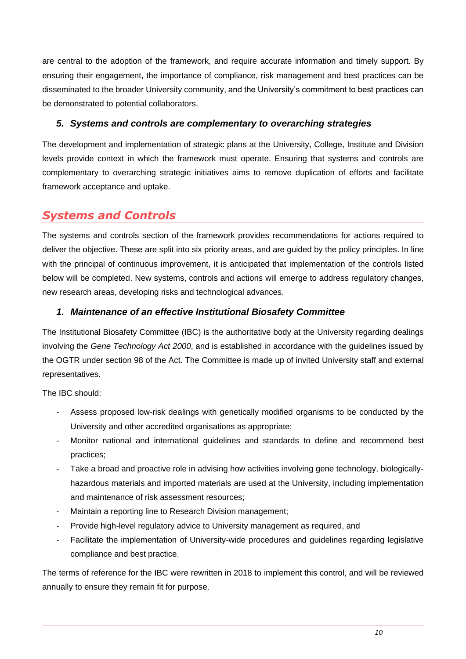are central to the adoption of the framework, and require accurate information and timely support. By ensuring their engagement, the importance of compliance, risk management and best practices can be disseminated to the broader University community, and the University's commitment to best practices can be demonstrated to potential collaborators.

#### *5. Systems and controls are complementary to overarching strategies*

The development and implementation of strategic plans at the University, College, Institute and Division levels provide context in which the framework must operate. Ensuring that systems and controls are complementary to overarching strategic initiatives aims to remove duplication of efforts and facilitate framework acceptance and uptake.

## <span id="page-11-0"></span>*Systems and Controls*

The systems and controls section of the framework provides recommendations for actions required to deliver the objective. These are split into six priority areas, and are guided by the policy principles. In line with the principal of continuous improvement, it is anticipated that implementation of the controls listed below will be completed. New systems, controls and actions will emerge to address regulatory changes, new research areas, developing risks and technological advances.

#### *1. Maintenance of an effective Institutional Biosafety Committee*

The Institutional Biosafety Committee (IBC) is the authoritative body at the University regarding dealings involving the *Gene Technology Act 2000*, and is established in accordance with the guidelines issued by the OGTR under section 98 of the Act. The Committee is made up of invited University staff and external representatives.

The IBC should:

- Assess proposed low-risk dealings with genetically modified organisms to be conducted by the University and other accredited organisations as appropriate;
- Monitor national and international guidelines and standards to define and recommend best practices;
- Take a broad and proactive role in advising how activities involving gene technology, biologicallyhazardous materials and imported materials are used at the University, including implementation and maintenance of risk assessment resources;
- Maintain a reporting line to Research Division management;
- Provide high-level regulatory advice to University management as required, and
- Facilitate the implementation of University-wide procedures and guidelines regarding legislative compliance and best practice.

The terms of reference for the IBC were rewritten in 2018 to implement this control, and will be reviewed annually to ensure they remain fit for purpose.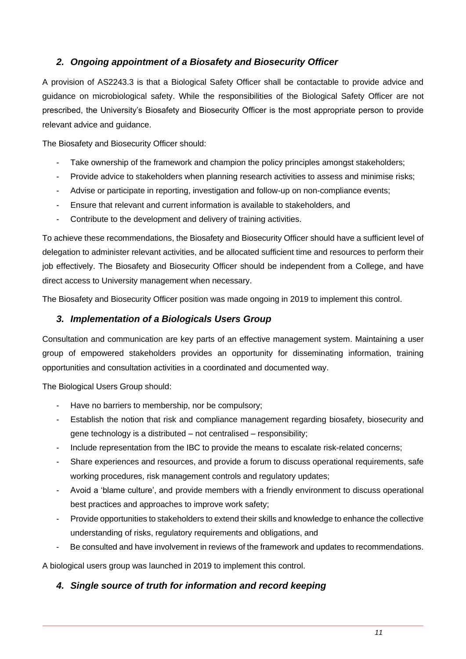#### *2. Ongoing appointment of a Biosafety and Biosecurity Officer*

A provision of AS2243.3 is that a Biological Safety Officer shall be contactable to provide advice and guidance on microbiological safety. While the responsibilities of the Biological Safety Officer are not prescribed, the University's Biosafety and Biosecurity Officer is the most appropriate person to provide relevant advice and guidance.

The Biosafety and Biosecurity Officer should:

- Take ownership of the framework and champion the policy principles amongst stakeholders;
- Provide advice to stakeholders when planning research activities to assess and minimise risks;
- Advise or participate in reporting, investigation and follow-up on non-compliance events;
- Ensure that relevant and current information is available to stakeholders, and
- Contribute to the development and delivery of training activities.

To achieve these recommendations, the Biosafety and Biosecurity Officer should have a sufficient level of delegation to administer relevant activities, and be allocated sufficient time and resources to perform their job effectively. The Biosafety and Biosecurity Officer should be independent from a College, and have direct access to University management when necessary.

The Biosafety and Biosecurity Officer position was made ongoing in 2019 to implement this control.

#### *3. Implementation of a Biologicals Users Group*

Consultation and communication are key parts of an effective management system. Maintaining a user group of empowered stakeholders provides an opportunity for disseminating information, training opportunities and consultation activities in a coordinated and documented way.

The Biological Users Group should:

- Have no barriers to membership, nor be compulsory;
- Establish the notion that risk and compliance management regarding biosafety, biosecurity and gene technology is a distributed – not centralised – responsibility;
- Include representation from the IBC to provide the means to escalate risk-related concerns;
- Share experiences and resources, and provide a forum to discuss operational requirements, safe working procedures, risk management controls and regulatory updates;
- Avoid a 'blame culture', and provide members with a friendly environment to discuss operational best practices and approaches to improve work safety;
- Provide opportunities to stakeholders to extend their skills and knowledge to enhance the collective understanding of risks, regulatory requirements and obligations, and
- Be consulted and have involvement in reviews of the framework and updates to recommendations.

A biological users group was launched in 2019 to implement this control.

#### *4. Single source of truth for information and record keeping*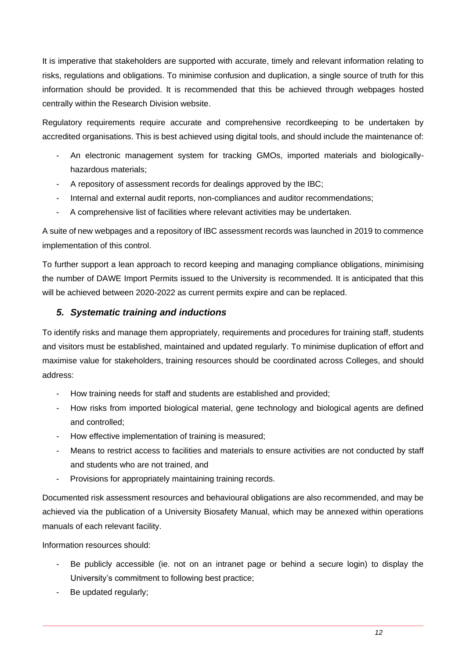It is imperative that stakeholders are supported with accurate, timely and relevant information relating to risks, regulations and obligations. To minimise confusion and duplication, a single source of truth for this information should be provided. It is recommended that this be achieved through webpages hosted centrally within the Research Division website.

Regulatory requirements require accurate and comprehensive recordkeeping to be undertaken by accredited organisations. This is best achieved using digital tools, and should include the maintenance of:

- An electronic management system for tracking GMOs, imported materials and biologicallyhazardous materials;
- A repository of assessment records for dealings approved by the IBC;
- Internal and external audit reports, non-compliances and auditor recommendations;
- A comprehensive list of facilities where relevant activities may be undertaken.

A suite of new webpages and a repository of IBC assessment records was launched in 2019 to commence implementation of this control.

To further support a lean approach to record keeping and managing compliance obligations, minimising the number of DAWE Import Permits issued to the University is recommended. It is anticipated that this will be achieved between 2020-2022 as current permits expire and can be replaced.

#### *5. Systematic training and inductions*

To identify risks and manage them appropriately, requirements and procedures for training staff, students and visitors must be established, maintained and updated regularly. To minimise duplication of effort and maximise value for stakeholders, training resources should be coordinated across Colleges, and should address:

- How training needs for staff and students are established and provided;
- How risks from imported biological material, gene technology and biological agents are defined and controlled;
- How effective implementation of training is measured;
- Means to restrict access to facilities and materials to ensure activities are not conducted by staff and students who are not trained, and
- Provisions for appropriately maintaining training records.

Documented risk assessment resources and behavioural obligations are also recommended, and may be achieved via the publication of a University Biosafety Manual, which may be annexed within operations manuals of each relevant facility.

Information resources should:

- Be publicly accessible (ie. not on an intranet page or behind a secure login) to display the University's commitment to following best practice;
- Be updated regularly;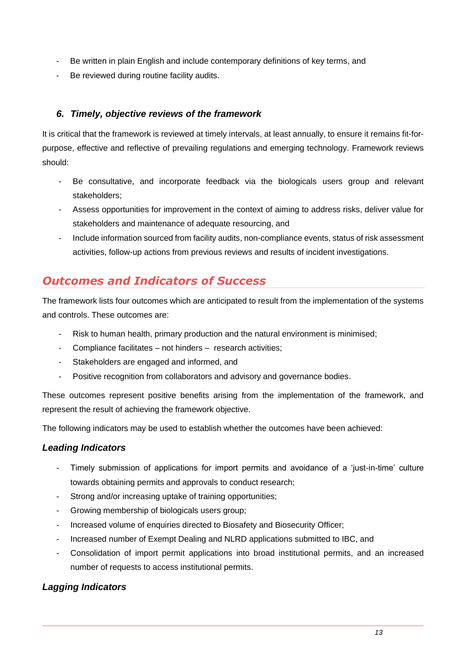- Be written in plain English and include contemporary definitions of key terms, and
- Be reviewed during routine facility audits.

#### *6. Timely, objective reviews of the framework*

It is critical that the framework is reviewed at timely intervals, at least annually, to ensure it remains fit-forpurpose, effective and reflective of prevailing regulations and emerging technology. Framework reviews should:

- Be consultative, and incorporate feedback via the biologicals users group and relevant stakeholders;
- Assess opportunities for improvement in the context of aiming to address risks, deliver value for stakeholders and maintenance of adequate resourcing, and
- Include information sourced from facility audits, non-compliance events, status of risk assessment activities, follow-up actions from previous reviews and results of incident investigations.

## <span id="page-14-0"></span>*Outcomes and Indicators of Success*

The framework lists four outcomes which are anticipated to result from the implementation of the systems and controls. These outcomes are:

- Risk to human health, primary production and the natural environment is minimised;
- Compliance facilitates not hinders research activities;
- Stakeholders are engaged and informed, and
- Positive recognition from collaborators and advisory and governance bodies.

These outcomes represent positive benefits arising from the implementation of the framework, and represent the result of achieving the framework objective.

The following indicators may be used to establish whether the outcomes have been achieved:

#### *Leading Indicators*

- Timely submission of applications for import permits and avoidance of a 'just-in-time' culture towards obtaining permits and approvals to conduct research;
- Strong and/or increasing uptake of training opportunities;
- Growing membership of biologicals users group;
- Increased volume of enquiries directed to Biosafety and Biosecurity Officer;
- Increased number of Exempt Dealing and NLRD applications submitted to IBC, and
- Consolidation of import permit applications into broad institutional permits, and an increased number of requests to access institutional permits.

#### *Lagging Indicators*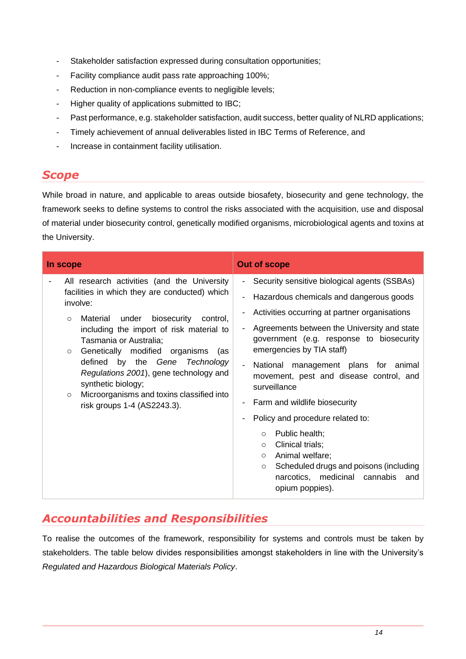- Stakeholder satisfaction expressed during consultation opportunities;
- Facility compliance audit pass rate approaching 100%;
- Reduction in non-compliance events to negligible levels;
- Higher quality of applications submitted to IBC;
- Past performance, e.g. stakeholder satisfaction, audit success, better quality of NLRD applications;
- Timely achievement of annual deliverables listed in IBC Terms of Reference, and
- Increase in containment facility utilisation.

#### <span id="page-15-0"></span>*Scope*

While broad in nature, and applicable to areas outside biosafety, biosecurity and gene technology, the framework seeks to define systems to control the risks associated with the acquisition, use and disposal of material under biosecurity control, genetically modified organisms, microbiological agents and toxins at the University.

| In scope                                                                                                                                                                                                                                                                                                                                                                                                                                                                      | <b>Out of scope</b>                                                                                                                                                                                                                                                                                                                                                                                                                                                                                                                                                                                                                                                                                      |
|-------------------------------------------------------------------------------------------------------------------------------------------------------------------------------------------------------------------------------------------------------------------------------------------------------------------------------------------------------------------------------------------------------------------------------------------------------------------------------|----------------------------------------------------------------------------------------------------------------------------------------------------------------------------------------------------------------------------------------------------------------------------------------------------------------------------------------------------------------------------------------------------------------------------------------------------------------------------------------------------------------------------------------------------------------------------------------------------------------------------------------------------------------------------------------------------------|
| All research activities (and the University<br>facilities in which they are conducted) which<br>involve:<br>Material under biosecurity control,<br>$\circ$<br>including the import of risk material to<br>Tasmania or Australia;<br>Genetically modified organisms<br>(as<br>$\circ$<br>defined by the Gene Technology<br>Regulations 2001), gene technology and<br>synthetic biology;<br>Microorganisms and toxins classified into<br>$\circ$<br>risk groups 1-4 (AS2243.3). | Security sensitive biological agents (SSBAs)<br>$\blacksquare$<br>Hazardous chemicals and dangerous goods<br>$\blacksquare$<br>Activities occurring at partner organisations<br>Agreements between the University and state<br>government (e.g. response to biosecurity<br>emergencies by TIA staff)<br>National management plans for animal<br>movement, pest and disease control, and<br>surveillance<br>Farm and wildlife biosecurity<br>$\blacksquare$<br>Policy and procedure related to:<br>Public health;<br>$\circ$<br>Clinical trials;<br>$\circ$<br>Animal welfare;<br>$\circ$<br>Scheduled drugs and poisons (including<br>$\circ$<br>narcotics, medicinal cannabis<br>and<br>opium poppies). |

## <span id="page-15-1"></span>*Accountabilities and Responsibilities*

To realise the outcomes of the framework, responsibility for systems and controls must be taken by stakeholders. The table below divides responsibilities amongst stakeholders in line with the University's *Regulated and Hazardous Biological Materials Policy*.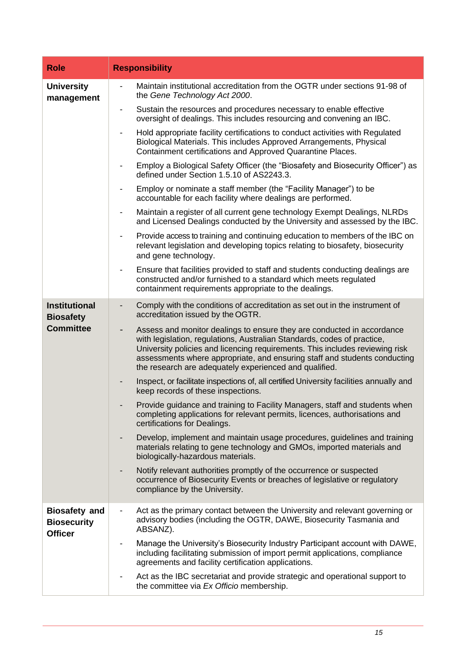| <b>Role</b>                                                  | <b>Responsibility</b>                                                                                                                                                                                                                                                                                                                                                    |  |  |  |
|--------------------------------------------------------------|--------------------------------------------------------------------------------------------------------------------------------------------------------------------------------------------------------------------------------------------------------------------------------------------------------------------------------------------------------------------------|--|--|--|
| <b>University</b><br>management                              | Maintain institutional accreditation from the OGTR under sections 91-98 of<br>the Gene Technology Act 2000.                                                                                                                                                                                                                                                              |  |  |  |
|                                                              | Sustain the resources and procedures necessary to enable effective<br>oversight of dealings. This includes resourcing and convening an IBC.                                                                                                                                                                                                                              |  |  |  |
|                                                              | Hold appropriate facility certifications to conduct activities with Regulated<br>Biological Materials. This includes Approved Arrangements, Physical<br>Containment certifications and Approved Quarantine Places.                                                                                                                                                       |  |  |  |
|                                                              | Employ a Biological Safety Officer (the "Biosafety and Biosecurity Officer") as<br>defined under Section 1.5.10 of AS2243.3.                                                                                                                                                                                                                                             |  |  |  |
|                                                              | Employ or nominate a staff member (the "Facility Manager") to be<br>accountable for each facility where dealings are performed.                                                                                                                                                                                                                                          |  |  |  |
|                                                              | Maintain a register of all current gene technology Exempt Dealings, NLRDs<br>and Licensed Dealings conducted by the University and assessed by the IBC.                                                                                                                                                                                                                  |  |  |  |
|                                                              | Provide access to training and continuing education to members of the IBC on<br>$\overline{\phantom{a}}$<br>relevant legislation and developing topics relating to biosafety, biosecurity<br>and gene technology.                                                                                                                                                        |  |  |  |
|                                                              | Ensure that facilities provided to staff and students conducting dealings are<br>$\blacksquare$<br>constructed and/or furnished to a standard which meets regulated<br>containment requirements appropriate to the dealings.                                                                                                                                             |  |  |  |
| <b>Institutional</b><br><b>Biosafety</b>                     | Comply with the conditions of accreditation as set out in the instrument of<br>accreditation issued by the OGTR.                                                                                                                                                                                                                                                         |  |  |  |
| <b>Committee</b>                                             | Assess and monitor dealings to ensure they are conducted in accordance<br>with legislation, regulations, Australian Standards, codes of practice,<br>University policies and licencing requirements. This includes reviewing risk<br>assessments where appropriate, and ensuring staff and students conducting<br>the research are adequately experienced and qualified. |  |  |  |
|                                                              | Inspect, or facilitate inspections of, all certified University facilities annually and<br>keep records of these inspections.                                                                                                                                                                                                                                            |  |  |  |
|                                                              | Provide guidance and training to Facility Managers, staff and students when<br>completing applications for relevant permits, licences, authorisations and<br>certifications for Dealings.                                                                                                                                                                                |  |  |  |
|                                                              | Develop, implement and maintain usage procedures, guidelines and training<br>materials relating to gene technology and GMOs, imported materials and<br>biologically-hazardous materials.                                                                                                                                                                                 |  |  |  |
|                                                              | Notify relevant authorities promptly of the occurrence or suspected<br>occurrence of Biosecurity Events or breaches of legislative or regulatory<br>compliance by the University.                                                                                                                                                                                        |  |  |  |
| <b>Biosafety and</b><br><b>Biosecurity</b><br><b>Officer</b> | Act as the primary contact between the University and relevant governing or<br>$\blacksquare$<br>advisory bodies (including the OGTR, DAWE, Biosecurity Tasmania and<br>ABSANZ).                                                                                                                                                                                         |  |  |  |
|                                                              | Manage the University's Biosecurity Industry Participant account with DAWE,<br>$\blacksquare$<br>including facilitating submission of import permit applications, compliance<br>agreements and facility certification applications.                                                                                                                                      |  |  |  |
|                                                              | Act as the IBC secretariat and provide strategic and operational support to<br>$\qquad \qquad \blacksquare$<br>the committee via Ex Officio membership.                                                                                                                                                                                                                  |  |  |  |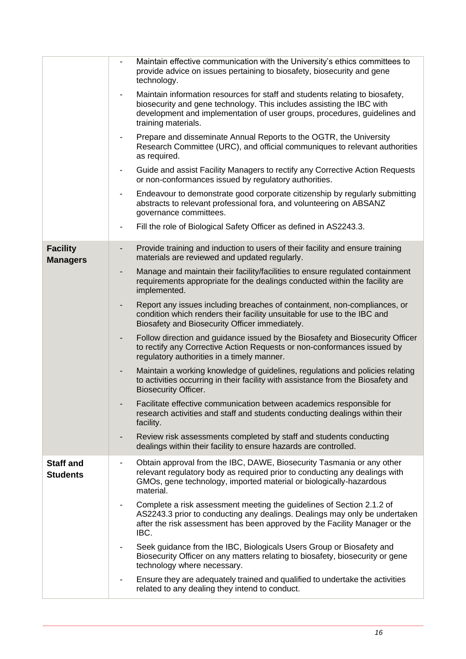|                                     | Maintain effective communication with the University's ethics committees to<br>$\overline{\phantom{a}}$<br>provide advice on issues pertaining to biosafety, biosecurity and gene<br>technology.                                                                                      |
|-------------------------------------|---------------------------------------------------------------------------------------------------------------------------------------------------------------------------------------------------------------------------------------------------------------------------------------|
|                                     | Maintain information resources for staff and students relating to biosafety,<br>$\overline{\phantom{a}}$<br>biosecurity and gene technology. This includes assisting the IBC with<br>development and implementation of user groups, procedures, guidelines and<br>training materials. |
|                                     | Prepare and disseminate Annual Reports to the OGTR, the University<br>$\qquad \qquad \blacksquare$<br>Research Committee (URC), and official communiques to relevant authorities<br>as required.                                                                                      |
|                                     | Guide and assist Facility Managers to rectify any Corrective Action Requests<br>$\qquad \qquad \blacksquare$<br>or non-conformances issued by regulatory authorities.                                                                                                                 |
|                                     | Endeavour to demonstrate good corporate citizenship by regularly submitting<br>$\qquad \qquad \blacksquare$<br>abstracts to relevant professional fora, and volunteering on ABSANZ<br>governance committees.                                                                          |
|                                     | Fill the role of Biological Safety Officer as defined in AS2243.3.<br>$\blacksquare$                                                                                                                                                                                                  |
| <b>Facility</b><br><b>Managers</b>  | Provide training and induction to users of their facility and ensure training<br>$\qquad \qquad \blacksquare$<br>materials are reviewed and updated regularly.                                                                                                                        |
|                                     | Manage and maintain their facility/facilities to ensure regulated containment<br>-<br>requirements appropriate for the dealings conducted within the facility are<br>implemented.                                                                                                     |
|                                     | Report any issues including breaches of containment, non-compliances, or<br>$\qquad \qquad \blacksquare$<br>condition which renders their facility unsuitable for use to the IBC and<br>Biosafety and Biosecurity Officer immediately.                                                |
|                                     | Follow direction and guidance issued by the Biosafety and Biosecurity Officer<br>$\qquad \qquad \blacksquare$<br>to rectify any Corrective Action Requests or non-conformances issued by<br>regulatory authorities in a timely manner.                                                |
|                                     | Maintain a working knowledge of guidelines, regulations and policies relating<br>$\qquad \qquad \blacksquare$<br>to activities occurring in their facility with assistance from the Biosafety and<br><b>Biosecurity Officer.</b>                                                      |
|                                     | Facilitate effective communication between academics responsible for<br>research activities and staff and students conducting dealings within their<br>facility.                                                                                                                      |
|                                     | Review risk assessments completed by staff and students conducting<br>-<br>dealings within their facility to ensure hazards are controlled.                                                                                                                                           |
| <b>Staff and</b><br><b>Students</b> | Obtain approval from the IBC, DAWE, Biosecurity Tasmania or any other<br>relevant regulatory body as required prior to conducting any dealings with<br>GMOs, gene technology, imported material or biologically-hazardous<br>material.                                                |
|                                     | Complete a risk assessment meeting the guidelines of Section 2.1.2 of<br>$\blacksquare$<br>AS2243.3 prior to conducting any dealings. Dealings may only be undertaken<br>after the risk assessment has been approved by the Facility Manager or the<br>IBC.                           |
|                                     | Seek guidance from the IBC, Biologicals Users Group or Biosafety and<br>Biosecurity Officer on any matters relating to biosafety, biosecurity or gene<br>technology where necessary.                                                                                                  |
|                                     | Ensure they are adequately trained and qualified to undertake the activities<br>related to any dealing they intend to conduct.                                                                                                                                                        |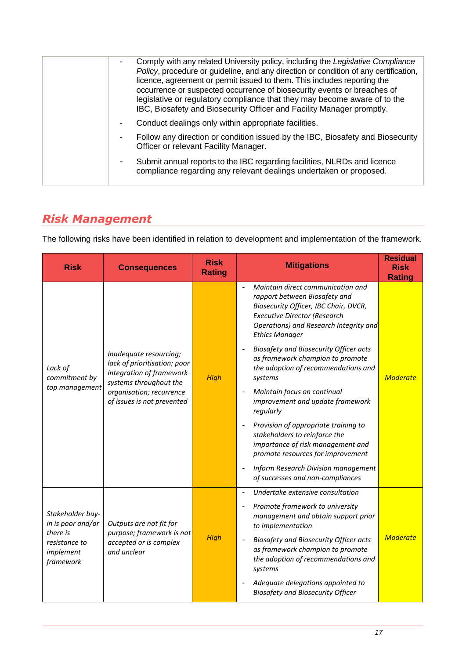|  | Comply with any related University policy, including the Legislative Compliance<br>$\overline{\phantom{0}}$<br>Policy, procedure or guideline, and any direction or condition of any certification,<br>licence, agreement or permit issued to them. This includes reporting the<br>occurrence or suspected occurrence of biosecurity events or breaches of<br>legislative or regulatory compliance that they may become aware of to the<br>IBC, Biosafety and Biosecurity Officer and Facility Manager promptly. |
|--|------------------------------------------------------------------------------------------------------------------------------------------------------------------------------------------------------------------------------------------------------------------------------------------------------------------------------------------------------------------------------------------------------------------------------------------------------------------------------------------------------------------|
|  | Conduct dealings only within appropriate facilities.<br>٠                                                                                                                                                                                                                                                                                                                                                                                                                                                        |
|  | Follow any direction or condition issued by the IBC, Biosafety and Biosecurity<br>۰<br>Officer or relevant Facility Manager.                                                                                                                                                                                                                                                                                                                                                                                     |
|  | Submit annual reports to the IBC regarding facilities, NLRDs and licence<br>٠<br>compliance regarding any relevant dealings undertaken or proposed.                                                                                                                                                                                                                                                                                                                                                              |
|  |                                                                                                                                                                                                                                                                                                                                                                                                                                                                                                                  |

## <span id="page-18-0"></span>*Risk Management*

The following risks have been identified in relation to development and implementation of the framework.

| <b>Risk</b>                                                                                  | <b>Consequences</b>                                                                                                                                                    | <b>Risk</b><br><b>Rating</b> | <b>Mitigations</b>                                                                                                                                                                                                    | <b>Residual</b><br><b>Risk</b><br><b>Rating</b> |
|----------------------------------------------------------------------------------------------|------------------------------------------------------------------------------------------------------------------------------------------------------------------------|------------------------------|-----------------------------------------------------------------------------------------------------------------------------------------------------------------------------------------------------------------------|-------------------------------------------------|
| Lack of<br>commitment by<br>top management                                                   | Inadequate resourcing;<br>lack of prioritisation; poor<br>integration of framework<br>systems throughout the<br>organisation; recurrence<br>of issues is not prevented | <b>High</b>                  | Maintain direct communication and<br>rapport between Biosafety and<br>Biosecurity Officer, IBC Chair, DVCR,<br><b>Executive Director (Research</b><br>Operations) and Research Integrity and<br><b>Ethics Manager</b> |                                                 |
|                                                                                              |                                                                                                                                                                        |                              | Biosafety and Biosecurity Officer acts<br>as framework champion to promote<br>the adoption of recommendations and<br>systems                                                                                          | <b>Moderate</b>                                 |
|                                                                                              |                                                                                                                                                                        |                              | Maintain focus on continual<br>improvement and update framework<br>regularly                                                                                                                                          |                                                 |
|                                                                                              |                                                                                                                                                                        |                              | Provision of appropriate training to<br>stakeholders to reinforce the<br>importance of risk management and<br>promote resources for improvement                                                                       |                                                 |
|                                                                                              |                                                                                                                                                                        |                              | Inform Research Division management<br>$\overline{\phantom{a}}$<br>of successes and non-compliances                                                                                                                   |                                                 |
|                                                                                              |                                                                                                                                                                        |                              | Undertake extensive consultation<br>$\blacksquare$                                                                                                                                                                    |                                                 |
| Stakeholder buy-<br>in is poor and/or<br>there is<br>resistance to<br>implement<br>framework | Outputs are not fit for<br>purpose; framework is not<br>accepted or is complex<br>and unclear                                                                          | High                         | Promote framework to university<br>management and obtain support prior<br>to implementation                                                                                                                           |                                                 |
|                                                                                              |                                                                                                                                                                        |                              | Biosafety and Biosecurity Officer acts<br>Ĭ.<br>as framework champion to promote<br>the adoption of recommendations and<br>systems                                                                                    | <b>Moderate</b>                                 |
|                                                                                              |                                                                                                                                                                        |                              | Adequate delegations appointed to<br><b>Biosafety and Biosecurity Officer</b>                                                                                                                                         |                                                 |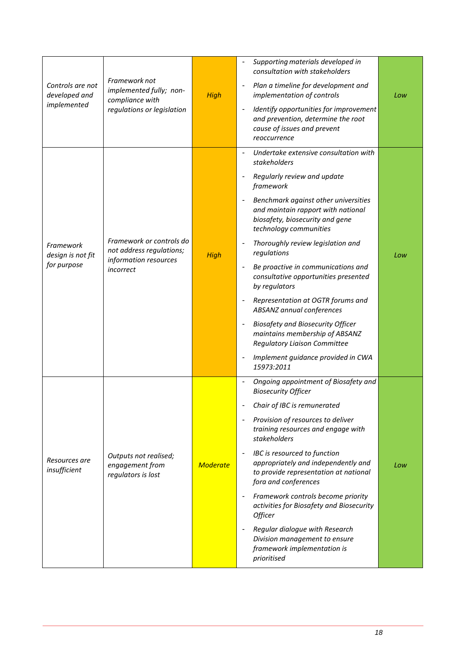| Controls are not<br>developed and<br>implemented | Framework not<br>implemented fully; non-<br>compliance with<br>regulations or legislation  | High            | Supporting materials developed in<br>consultation with stakeholders<br>Plan a timeline for development and<br>implementation of controls<br>Identify opportunities for improvement<br>and prevention, determine the root<br>cause of issues and prevent<br>reoccurrence                                                                                                                                                                                                                                                                                                                                                             | Low |
|--------------------------------------------------|--------------------------------------------------------------------------------------------|-----------------|-------------------------------------------------------------------------------------------------------------------------------------------------------------------------------------------------------------------------------------------------------------------------------------------------------------------------------------------------------------------------------------------------------------------------------------------------------------------------------------------------------------------------------------------------------------------------------------------------------------------------------------|-----|
| Framework<br>design is not fit<br>for purpose    | Framework or controls do<br>not address regulations;<br>information resources<br>incorrect | <b>High</b>     | Undertake extensive consultation with<br>stakeholders<br>Regularly review and update<br>framework<br>Benchmark against other universities<br>and maintain rapport with national<br>biosafety, biosecurity and gene<br>technology communities<br>Thoroughly review legislation and<br>regulations<br>Be proactive in communications and<br>consultative opportunities presented<br>by regulators<br>Representation at OGTR forums and<br>ABSANZ annual conferences<br><b>Biosafety and Biosecurity Officer</b><br>maintains membership of ABSANZ<br>Regulatory Liaison Committee<br>Implement guidance provided in CWA<br>15973:2011 | Low |
| Resources are<br>insufficient                    | Outputs not realised;<br>engagement from<br>regulators is lost                             | <b>Moderate</b> | Ongoing appointment of Biosafety and<br><b>Biosecurity Officer</b><br>Chair of IBC is remunerated<br>Provision of resources to deliver<br>training resources and engage with<br>stakeholders<br>IBC is resourced to function<br>appropriately and independently and<br>to provide representation at national<br>fora and conferences<br>Framework controls become priority<br>activities for Biosafety and Biosecurity<br>Officer<br>Regular dialogue with Research<br>Division management to ensure<br>framework implementation is<br>prioritised                                                                                  | Low |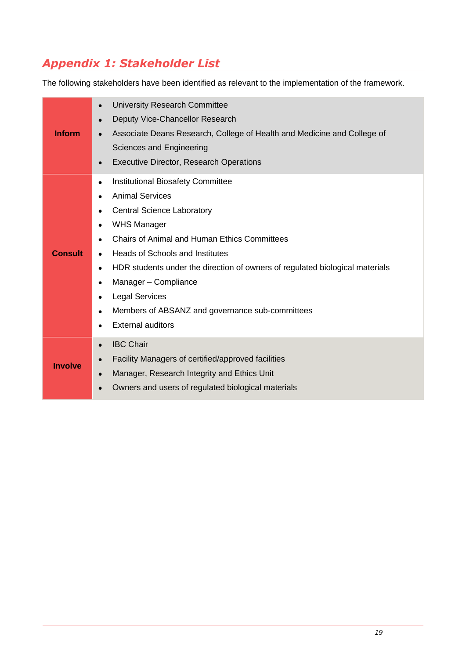## <span id="page-20-0"></span>*Appendix 1: Stakeholder List*

The following stakeholders have been identified as relevant to the implementation of the framework.

| <b>Inform</b>  | University Research Committee<br>$\bullet$<br>Deputy Vice-Chancellor Research<br>$\bullet$<br>Associate Deans Research, College of Health and Medicine and College of<br>Sciences and Engineering<br><b>Executive Director, Research Operations</b><br>$\bullet$                                                                                                                                                                                                                                  |
|----------------|---------------------------------------------------------------------------------------------------------------------------------------------------------------------------------------------------------------------------------------------------------------------------------------------------------------------------------------------------------------------------------------------------------------------------------------------------------------------------------------------------|
| <b>Consult</b> | Institutional Biosafety Committee<br>$\bullet$<br><b>Animal Services</b><br><b>Central Science Laboratory</b><br>$\bullet$<br><b>WHS Manager</b><br><b>Chairs of Animal and Human Ethics Committees</b><br>Heads of Schools and Institutes<br>$\bullet$<br>HDR students under the direction of owners of regulated biological materials<br>$\bullet$<br>Manager - Compliance<br>$\bullet$<br><b>Legal Services</b><br>Members of ABSANZ and governance sub-committees<br><b>External auditors</b> |
| <b>Involve</b> | <b>IBC Chair</b><br>Facility Managers of certified/approved facilities<br>Manager, Research Integrity and Ethics Unit<br>Owners and users of regulated biological materials<br>$\bullet$                                                                                                                                                                                                                                                                                                          |